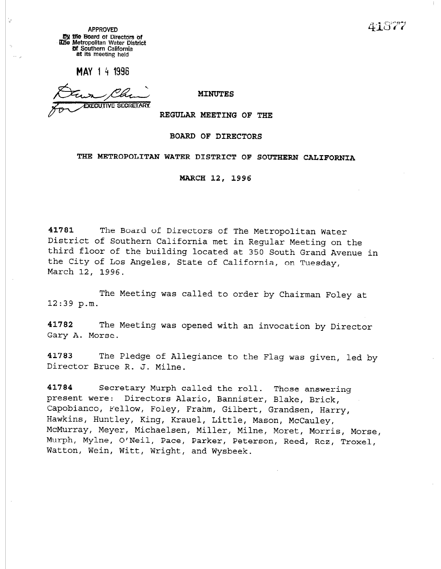41877

APPROVED by the board of Directors of une metropolitan water District **or Southern California** at its meeting held

MAY 14 1996

**XECUTIVE SECRETARY** 

### MINUTES

REGULAR MEETING OF THE

### BOARD OF DIRECTORS

## THE METROPOLITAN WATER DISTRICT OF SOUTHERN CALIFORNIA

MARCH 12, 1996

41781 The Board of Directors of The Metropolitan Water District of Southern California met in Regular Meeting on the third floor of the building located at 350 South Grand Avenue in the City of Los Angeles, State of California, on Tuesday, March 12, 1996.

The Meeting was called to order by Chairman Foley at 12:39 p.m.

41782 The Meeting was opened with an invocation by Director Gary A. Morse.

41783 The Pledge of Allegiance to the Flag was given, led by Director Bruce R. J. Milne.

41784 Secretary Murph called the roll. Those answering present were: Directors Alario, Bannister, Blake, Brick, Capobianco, Fellow, Foley, Frahm, Gilbert, Grandsen, Harry, Hawkins, Huntley, King, Krauel, Little, Mason, McCauley, McMurray, Meyer, Michaelsen, Miller, Milne, Moret, Morris, Morse, Murph, Mylne, O/Neil, Pace, Parker, Peterson, Reed, Rez, Troxel, Watton, Wein, Witt, Wright, and Wysbeek.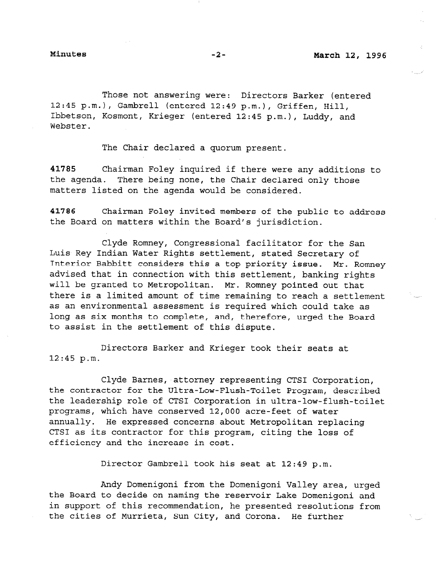Those not answering were: Directors Barker (entered 12:45 p.m.), Gambrel1 (entered 12:49 p.m.), Griffen, Hill, Ibbetson, Kosmont, Krieger (entered 12:45 p.m.), Luddy, and Webster.

The Chair declared a quorum present.

41785 Chairman Foley inquired if there were any additions to the agenda. There being none, the Chair declared only those matters listed on the agenda would be considered.

41786 Chairman Foley invited members of the public to address the Board on matters within the Board's jurisdiction.

Clyde Romney, Congressional facilitator for the San Luis Rey Indian Water Rights settlement, stated Secretary of Interior Babbitt considers this a top priority issue. Mr. Romney advised that in connection with this settlement, banking rights will be granted to Metropolitan. Mr. Romney pointed out that there is a limited amount of time remaining to reach a settlement as an environmental assessment is required which could take as long as six months to complete, and, therefore, urged the Board to assist in the settlement of this dispute.

Directors Barker and Krieger took their seats at 12:45 p.m.

Clyde Barnes, attorney representing CTSI Corporation, the contractor for the Ultra-Low-Flush-Toilet Program, described the leadership role of CTSI Corporation in ultra-low-flush-toilet programs, which have conserved 12,000 acre-feet of water annually. He expressed concerns about Metropolitan replacing CTSI as its contractor for this program, citing the loss of efficiency and the increase in cost.

Director Gambrel1 took his seat at 12:49 p.m.

Andy Domenigoni from the Domenigoni Valley area, urged the Board to decide on naming the reservoir Lake Domenigoni and in support of this recommendation, he presented resolutions from the cities of Murrieta, Sun City, and Corona. He further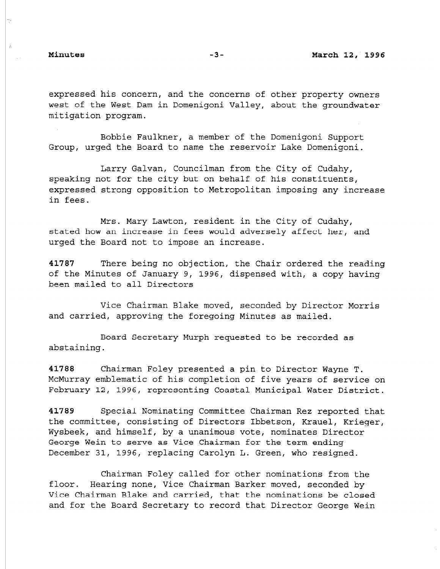ÿ.

expressed his concern, and the concerns of other property owners west of the West Dam in Domenigoni Valley, about the groundwater mitigation program.

Bobbie Faulkner, a member of the Domenigoni Support Group, urged the Board to name the reservoir Lake Domenigoni.

Larry Galvan, Councilman from the City of Cudahy, speaking not for the city but on behalf of his constituents, expressed strong opposition to Metropolitan imposing any increase in fees.

Mrs. Mary Lawton, resident in the City of Cudahy, stated how an increase in fees would adversely affect her, and urged the Board not to impose an increase.

41787 There being no objection, the Chair ordered the reading of the Minutes of January 9, 1996, dispensed with, a copy having been mailed to all Directors

Vice Chairman Blake moved, seconded by Director Morris and carried, approving the foregoing Minutes as mailed.

Board Secretary Murph requested to be recorded as abstaining.

41788 Chairman Foley presented a pin to Director Wayne T. McMurray emblematic of his completion of five years of service on February 12, 1996, representing Coastal Municipal Water District.

41789 Special Nominating Committee Chairman Rez reported that the committee, consisting of Directors Ibbetson, Krauel, Krieger, Wysbeek, and himself, by a unanimous vote, nominates Director George Wein to serve as Vice Chairman for the term ending December 31, 1996, replacing Carolyn L. Green, who resigned.

Chairman Foley called for other nominations from the floor. Hearing none, Vice Chairman Barker moved, seconded by Vice Chairman Blake and carried, that the nominations be closed and for the Board Secretary to record that Director George Wein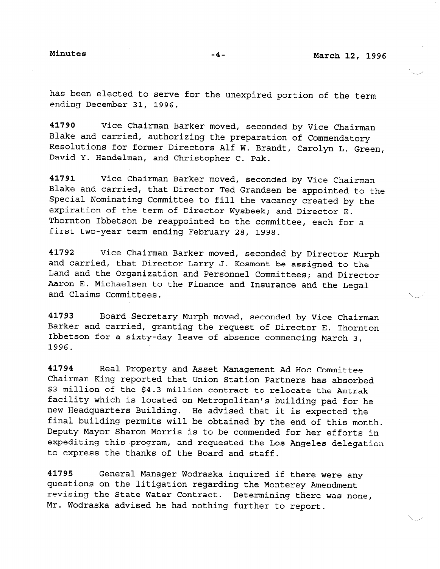has been elected to serve for the unexpired portion of the term ending December 31, 1996.

41790 Vice Chairman Barker moved, seconded by Vice Chairman Blake and carried, authorizing the preparation of Commendatory Resolutions for former Directors Alf W. Brandt, Carolyn L. Green, David Y. Handelman, and Christopher C. Pak.

41791 Vice Chairman Barker moved, seconded by Vice Chairman Blake and carried, that Director Ted Grandsen be appointed to the Special Nominating Committee to fill the vacancy created by the expiration of the term of Director Wysbeek; and Director E. Thornton Ibbetson be reappointed to the committee, each for a first two-year term ending February 28, 1998.

41792 Vice Chairman Barker moved, seconded by Director Murph and carried, that Director Larry J. Kosmont be assigned to the Land and the Organization and Personnel Committees; and Director Aaron E. Michaelsen to the Finance and Insurance and the Legal and Claims Committees.

41793 Board Secretary Murph moved, seconded by Vice Chairman Barker and carried, granting the request of Director E. Thornton Ibbetson for a sixty-day leave of absence commencing March 3, 1996.

41794 Real Property and Asset Management Ad Hoc Committee Chairman King reported that Union Station Partners has absorbed \$3 million of the \$4.3 million contract to relocate the Amtrak facility which is located on Metropolitan's building pad for he new Headquarters Building. He advised that it is expected the final building permits will be obtained by the end of this month. Deputy Mayor Sharon Morris is to be commended for her efforts in expediting this program, and requested the Los Angeles delegation to express the thanks of the Board and staff.

41795 General Manager Wodraska inquired if there were any questions on the litigation regarding the Monterey Amendment revising the State Water Contract. Determining there was none, Mr. Wodraska advised he had nothing further to report.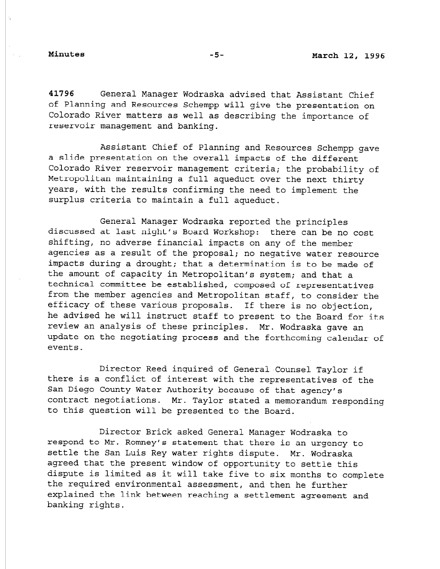41796 General Manager Wodraska advised that Assistant Chief of Planning and Resources Schempp will give the presentation on Colorado River matters as well as describing the importance of reservoir management and banking.

Assistant Chief of Planning and Resources Schempp gave a slide presentation on the overall impacts of the different Colorado River reservoir management criteria; the probability of Metropolitan maintaining a full aqueduct over the next thirty years, with the results confirming the need to implement the surplus criteria to maintain a full aqueduct.

General Manager Wodraska reported the principles discussed at last night's Board Workshop: there can be no cost shifting, no adverse financial impacts on any of the member agencies as a result of the proposal; no negative water resource impacts during a drought; that a determination is to be made of the amount of capacity in Metropolitan's system; and that a technical committee be established, composed of representatives from the member agencies and Metropolitan staff, to consider the efficacy of these various proposals. If there is no objection, he advised he will instruct staff to present to the Board for its review an analysis of these principles. Mr. Wodraska gave an update on the negotiating process and the forthcoming calendar of events.

Director Reed inquired of General Counsel Taylor if there is a conflict of interest with the representatives of the San Diego County Water Authority because of that agency's contract negotiations. Mr. Taylor stated a memorandum responding to this question will be presented to the Board.

Director Brick asked General Manager Wodraska to respond to Mr. Romney's statement that there is an urgency to settle the San Luis Rey water rights dispute. Mr. Wodraska agreed that the present window of opportunity to settle this dispute is limited as it will take five to six months to complete the required environmental assessment assessment assessment assessment assessment assessment assessment and the explained the link between reaching and their ne further explained the link between reaching a settlement agreement and<br>banking rights.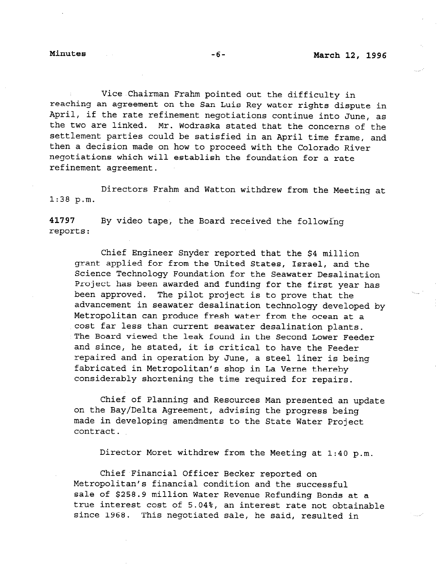Vice Chairman Frahm pointed out the difficulty in reaching an agreement on the San Luis Rey water rights dispute in April, if the rate refinement negotiations continue into June, as the two are linked. Mr. Wodraska stated that the concerns of the settlement parties could be satisfied in an April time frame, and then a decision made on how to proceed with the Colorado River negotiations which will establish the foundation for a rate refinement agreement.

Directors Frahm and Watton withdrew from the Meeting at 1:38 p.m.

41797 By video tape, the Board received the following reports:

Chief Engineer Snyder reported that the \$4 million grant applied for from the United States, Israel, and the Science Technology Foundation for the Seawater Desalination Project has been awarded and funding for the first year has been approved. The pilot project is to prove that the advancement in seawater desalination technology developed by Metropolitan can produce fresh water from the ocean at a cost far less than current seawater desalination plants. The Board viewed the leak found in the Second Lower Feeder and since, he stated, it is critical to have the Feeder repaired and in operation by June, a steel liner is being fabricated in Metropolitan's shop in La Verne thereby considerably shortening the time required for repairs.

Chief of Planning and Resources Man presented an update on the Bay/Delta Agreement, advising the progress being made in developing amendments to the State Water Project contract.

Director Moret withdrew from the Meeting at 1:40 p.m.

Chief Financial Officer Becker reported on Metropolitan's financial condition and the successful sale of \$258.9 million Water Revenue Refunding Bonds at a true interest cost of 5.04%, an interest rate not obtainable since 1968. This negotiated sale, he said, resulted in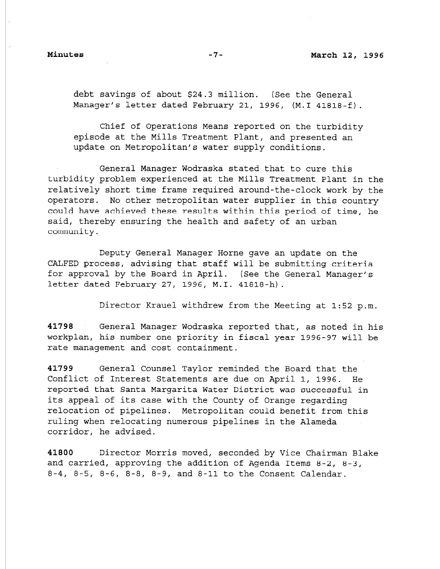debt savings of about \$24.3 million. (See the General Manager's letter dated February 21, 1996, (M.1 41818-f).

Chief of Operations Means reported on the turbidity episode at the Mills Treatment Plant, and presented an update on Metropolitan's water supply conditions.

General Manager Wodraska stated that to cure this turbidity problem experienced at the Mills Treatment Plant in the relatively short time frame required around-the-clock work by the operators. No other metropolitan water supplier in this country could have achieved these results within this period of time, he said, thereby ensuring the health and safety of an urban community.

Deputy General Manager Horne gave an update on the CALFED process, advising that staff will be submitting criteria for approval by the Board in April. (See the General Manager's letter dated February 27, 1996, M.I. 41818-h).

Director Krauel withdrew from the Meeting at 1:52 p.m.

41798 General Manager Wodraska reported that, as noted in his workplan, his number one priority in fiscal year 1996-97 will be rate management and cost containment.

41799 General Counsel Taylor reminded the Board that the Conflict of Interest Statements are due on April 1, 1996. He reported that Santa Margarita Water District was successful in its appeal of its case with the County of Orange regarding relocation of pipelines. Metropolitan could benefit from this ruling when relocating numerous pipelines in the Alameda corridor, he advised.

41800 Director Morris moved, seconded by Vice Chairman Blake and carried, approving the addition of Agenda Items 8-2, 8-3, 8-4, 8-5, 8-6, 8-8, 8-9, and 8-11 to the Consent Calendar.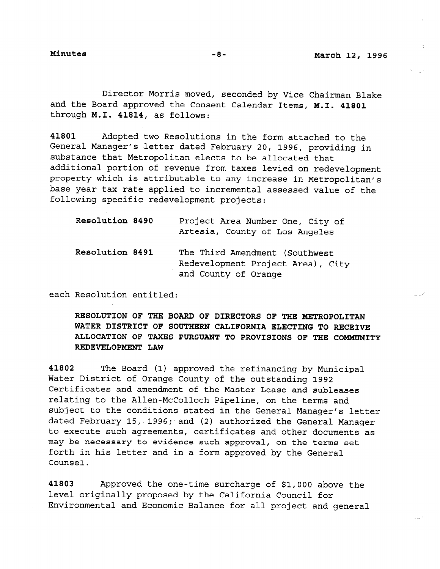Director Morris moved, seconded by Vice Chairman Blake and the Board approved the Consent Calendar Items, M.I. 41801 through M.I. 41814, as follows:

41801 Adopted two Resolutions in the form attached to the General Manager's letter dated February 20, 1996, providing in substance that Metropolitan elects to be allocated that additional portion of revenue from taxes levied on redevelopment property which is attributable to any increase in Metropolitan's base year tax rate applied to incremental assessed value of the following specific redevelopment projects:

| Resolution 8490 | Project Area Number One, City of<br>Artesia, County of Los Angeles                          |
|-----------------|---------------------------------------------------------------------------------------------|
| Resolution 8491 | The Third Amendment (Southwest<br>Redevelopment Project Area), City<br>and County of Orange |

each Resolution entitled:

RESOLUTION OF THE BOARD OF DIRECTORS OF THE METROPOLITAN WATER DISTRICT OF SOUTHERN CALIFORNIA ELECTING TO RECEIVE ALLOCATION OF TAXES PURSUANT TO PROVISIONS OF THE COMMUNITY REDEVELOPMENT LAW

41802 The Board (1) approved the refinancing by Municipal Water District of Orange County of the outstanding 1992 Certificates and amendment of the Master Lease and subleases relating to the Allen-McColloch Pipeline, on the terms and subject to the conditions stated in the General Manager's letter dated February 15, 1996; and (2) authorized the General Manager to execute such agreements, certificates and other documents as of execute such agreements, certificates and other documents may be necessary to evidence such approval, on the Germs forth in his letter and in a form approved by the General<br>Counsel.

41803 Approved the one-time surcharge of \$1,000 above the level originally proposed by the California Council for Environmental and Economic Balance for all project and general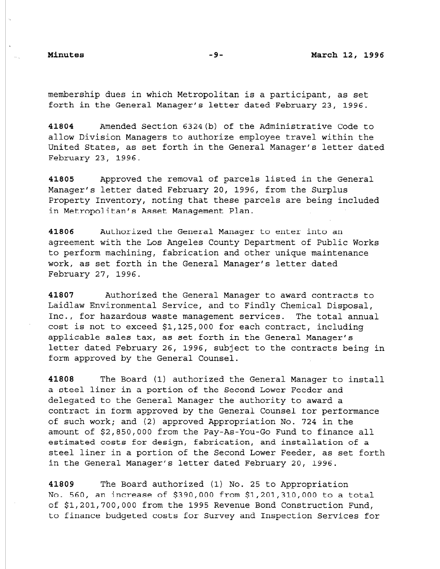membership dues in which Metropolitan is a participant, as set forth in the General Manager's letter dated February 23, 1996.

41804 Amended Section 6324(b) of the Administrative Code to allow Division Managers to authorize employee travel within the United States, as set forth in the General Manager's letter dated February 23, 1996.

41805 Approved the removal of parcels listed in the General Manager's letter dated February 20, 1996, from the Surplus Property Inventory, noting that these parcels are being included in Metropolitan's Asset Management Plan.

41806 Authorized the General Manager to enter into an agreement with the Los Angeles County Department of Public Works to perform machining, fabrication and other unique maintenance work, as set forth in the General Manager's letter dated February 27, 1996.

41807 Authorized the General Manager to award contracts to Laidlaw Environmental Service, and to Findly Chemical Disposal, Inc., for hazardous waste management services. The total annual cost is not to exceed \$1,125,000 for each contract, including applicable sales tax, as set forth in the General Manager's letter dated February 26, 1996, subject to the contracts being in form approved by the General Counsel.

41808 The Board (1) authorized the General Manager to install a steel liner in a portion of the Second Lower Feeder and delegated to the General Manager the authority to award a contract in form approved by the General Counsel for performance of such work; and (2) approved Appropriation No. 724 in the amount of \$2,850,000 from the Pay-As-You-Go Fund to finance all estimated costs for design, fabrication, and installation of a steel liner in a portion of the Second Lower Feeder, as set forth in the General Manager's letter dated February 20, 1996.

41809 The Board authorized (1) No. 25 to Appropriation No. 560, an increase of \$390,000 from \$1,201,310,000 to a total of \$1,201,700,000 from the 1995 Revenue Bond Construction Fund, to finance budgeted costs for Survey and Inspection Services for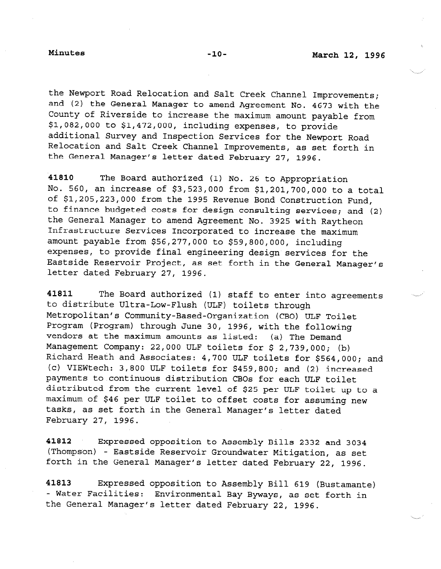the Newport Road Relocation and Salt Creek Channel Improvements; and (2) the General Manager to amend Agreement No. 4673 with the County of Riverside to increase the maximum amount payable from \$1,082,000 to \$1,472,000, including expenses, to provide additional Survey and Inspection Services for the Newport Road Relocation and Salt Creek Channel Improvements, as set forth in the General Manager's letter dated February 27, 1996.

41810 The Board authorized (1) No. 26 to Appropriation No. 560, an increase of \$3,523,000 from \$1,201,700,000 to a total of \$1,205,223,000 from the 1995 Revenue Bond Construction Fund, to finance budgeted costs for design consulting services; and (2) the General Manager to amend Agreement No. 3925 with Raytheon Infrastructure Services Incorporated to increase the maximum amount payable from \$56,277,000 to \$59,800,000, including expenses, to provide final engineering design services for the Eastside Reservoir Project, as set forth in the General Manager's letter dated February 27, 1996.

41811 The Board authorized (1) staff to enter into agreements to distribute Ultra-Low-Flush (ULF) toilets through Metropolitan's Community-Based-Organization (CBO) ULF Toilet Program (Program) through June 30, 1996, with the following vendors at the maximum amounts as listed: (a) The Demand Management Company: 22,000 ULF toilets for \$ 2,739,000; (b) Richard Heath and Associates: 4,700 ULF toilets for \$564,000; and (c) VIEWtech: 3,800 ULF toilets for \$459,800; and (2) increased payments to continuous distribution CBOs for each ULF toilet distributed from the current level of \$25 per ULF toilet up to a maximum of \$46 per ULF toilet to offset costs for assuming new tasks, as set forth in the General Manager's letter dated February 27, 1996.

41812 Expressed opposition to Assembly Bills 2332 and 3034 (Thompson) - Eastside Reservoir Groundwater Mitigation, as set forth in the General Manager's letter dated February 22, 1996.

41813 Expressed opposition to Assembly Bill 619 (Bustamante) - Water Facilities: Environmental Bay Byways, as set forth in the General Manager's letter dated February 22, 1996.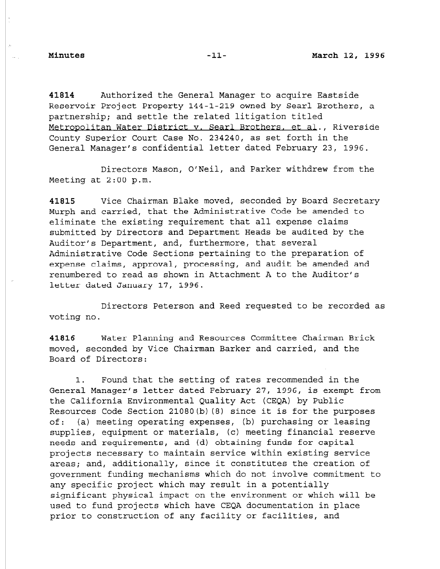41814 Authorized the General Manager to acquire Eastside Reservoir Project Property 144-l-219 owned by Sear1 Brothers, a partnership; and settle the related litigation titled Metropoljtan Water District v. Sear1 Brothers. et al., Riverside County Superior Court Case No. 234240, as set forth in the General Manager's confidential letter dated February 23, 1996.

Directors Mason, O/Neil, and Parker withdrew from the Meeting at 2:00 p.m.

41815 Vice Chairman Blake moved, seconded by Board Secretary Murph and carried, that the Administrative Code be amended to eliminate the existing requirement that all expense claims submitted by Directors and Department Heads be audited by the Auditor's Department, and, furthermore, that several Administrative Code Sections pertaining to the preparation of expense claims, approval, processing, and audit be amended and renumbered to read as shown in Attachment A to the Auditor's letter dated January 17, 1996.

Directors Peterson and Reed requested to be recorded as voting no.

41816 Water Planning and Resources Committee Chairman Brick moved, seconded by Vice Chairman Barker and carried, and the Board of Directors:

1. Found that the setting of rates recommended in the General Manager's letter dated February 27, 1996, is exempt from the California Environmental Quality Act (CEQA) by Public Resources Code Section 21080(b) (8) since it is for the purposes of: (a) meeting operating expenses, (b) purchasing or leasing supplies, equipment or materials, (c) meeting financial reserve needs and requirements, and (d) obtaining funds for capital projects necessary to maintain service within existing service areas; and, additionally, since it constitutes the creation of government funding mechanisms which do not involve commitment to any specific project which may result in a potentially significant physical impact on the environment or which will be used to fund projects which have CEQA documentation in place prior to construction of any facility or facilities, and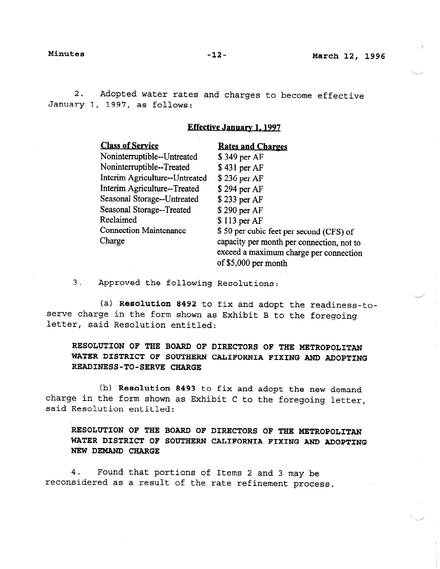2. Adopted water rates and charges to become effective January 1, 1997, as follows:

## Effective Januarv 1.1997

| <b>Class of Service</b>        | <b>Rates and Charges</b>                  |
|--------------------------------|-------------------------------------------|
| Noninterruptible--Untreated    | \$349 per AF                              |
| Noninterruptible--Treated      | \$431 per AF                              |
| Interim Agriculture--Untreated | \$236 per AF                              |
| Interim Agriculture--Treated   | \$294 per AF                              |
| Seasonal Storage--Untreated    | \$233 per AF                              |
| Seasonal Storage--Treated      | \$290 per AF                              |
| Reclaimed                      | \$113 per AF                              |
| <b>Connection Maintenance</b>  | \$50 per cubic feet per second (CFS) of   |
| Charge                         | capacity per month per connection, not to |
|                                | exceed a maximum charge per connection    |
|                                | of \$5,000 per month                      |

3. Approved the following Resolutions:

(a) Resolution 8492 to fix and adopt the readiness-toserve charge in the form shown as Exhibit B to the foregoing letter, said Resolution entitled:

RESOLUTION OF THE BOARD OF DIRECTORS OF THE METROPOLITAN WATER DISTRICT OF SOUTHERN CALIFORNIA FIXING AND ADOPTING READINESS-TO-SERVE CHARGE

(b) Resolution 8493 to fix and adopt the new demand charge in the form shown as Exhibit C to the form demand smange an ene rorm bne<br>soid Resolution entitl

# RESOLUTION OF THE BOARD OF DIRECTORS OF THE METROPOLITAN WATER DISTRICT OF SOUTHERN CALIFORNIA FIXING AND ADOPTING NEW DEMAND CHARGE

4. Found that portions of Items 2 and 3 may be reconsidered as a result of the rate refinement process.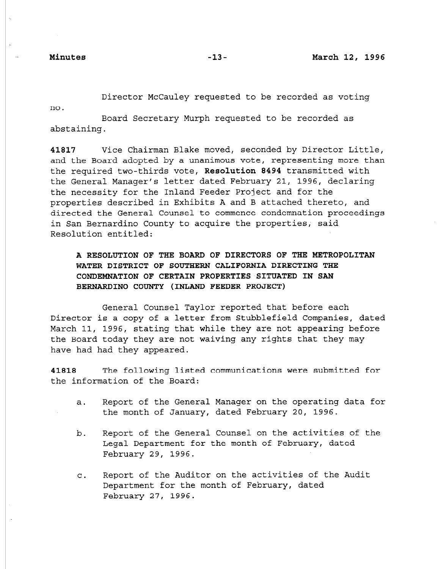Director McCauley requested to be recorded as voting

no.

Board Secretary Murph requested to be recorded as abstaining.

41817 Vice Chairman Blake moved, seconded by Director Little, and the Board adopted by a unanimous vote, representing more than the required two-thirds vote, Resolution 8494 transmitted with the General Manager's letter dated February 21, 1996, declaring the necessity for the Inland Feeder Project and for the properties described in Exhibits A and B attached thereto, and directed the General Counsel to commence condemnation proceedings in San Bernardino County to acquire the properties, said Resolution entitled:

A RESOLUTION OF THE BOARD OF DIRECTORS OF THE METROPOLITAN WATER DISTRICT OF SOUTHERN CALIFORNIA DIRECTING THE CONDEMNATION OF CERTAIN PROPERTIES SITUATED IN SAN BERNARDINO COUNTY (INLAND FEEDER PROJECT)

General Counsel Taylor reported that before each Director is a copy of a letter from Stubblefield Companies, dated March 11, 1996, stating that while they are not appearing before the Board today they are not waiving any rights that they may have had had they appeared.

41818 The following listed communications were submitted for the information of the Board:

- a. Report of the General Manager on the operating data for the month of January, dated February 20, 1996.
- b. Report of the General Counsel on the activities of the Legal Department for the month of February, dated February 29, 1996.
- C. Report of the Auditor on the activities of the Audit Department for the month of February, dated February 27, 1996.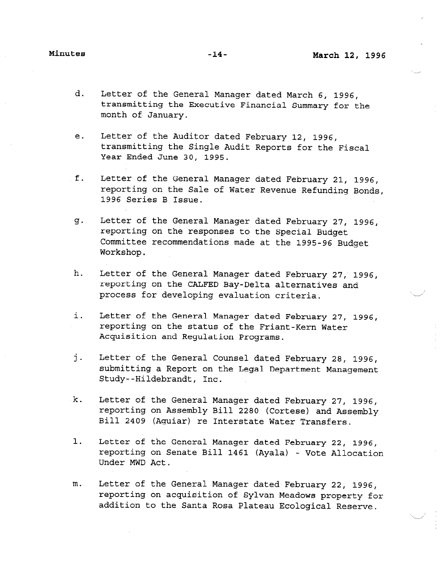- d. Letter of the General Manager dated March 6, 1996, transmitting the Executive Financial Summary for the month of January.
- e. Letter of the Auditor dated February 12, 1996, transmitting the Single Audit Reports for the Fiscal Year Ended June 30, 1995.
- f. Letter of the General Manager dated February 21, 1996, reporting on the Sale of Water Revenue Refunding Bonds, 1996 Series B Issue.
- Letter of the General Manager dated February 27, 1996,  $g$ . reporting on the responses to the Special Budget Committee recommendations made at the 1995-96 Budget Workshop.
- h. Letter of the General Manager dated February 27, 1996, reporting on the CALFED Bay-Delta alternatives and process for developing evaluation criteria.
- i. Letter of the General Manager dated February 27, 1996, reporting on the status of the Friant-Kern Water Acquisition and Regulation Programs.
- j-Letter of the General Counsel dated February 28, 1996, submitting a Report on the Legal Department Management Study--Hildebrandt, Inc.
- k. Letter of the General Manager dated February 27, 1996, reporting on Assembly Bill 2280 (Cortese) and Assembly Bill 2409 (Aguiar) re Interstate Water Transfers.
- 1. Letter of the General Manager dated February 22, 1996, reporting on Senate Bill 1461 (Ayala) - Vote Allocation Under MWD Act.
- m. Letter of the General Manager dated February 22, 1996, reporting on acquisition of Sylvan Meadows property for addition to the Santa Rosa Plateau Ecological Reserve.